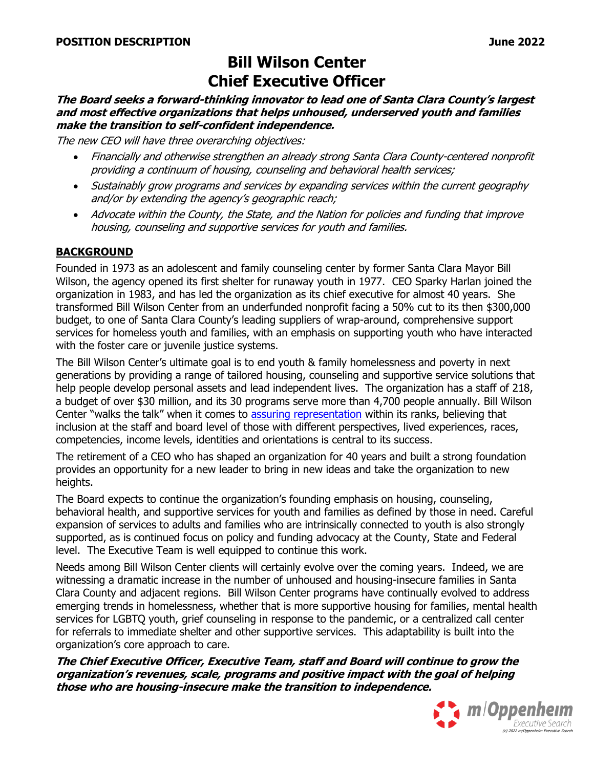# **Bill Wilson Center Chief Executive Officer**

**The Board seeks a forward-thinking innovator to lead one of Santa Clara County's largest and most effective organizations that helps unhoused, underserved youth and families make the transition to self-confident independence.**

The new CEO will have three overarching objectives:

- Financially and otherwise strengthen an already strong Santa Clara County-centered nonprofit providing a continuum of housing, counseling and behavioral health services;
- Sustainably grow programs and services by expanding services within the current geography and/or by extending the agency's geographic reach;
- Advocate within the County, the State, and the Nation for policies and funding that improve housing, counseling and supportive services for youth and families.

#### **BACKGROUND**

Founded in 1973 as an adolescent and family counseling center by former Santa Clara Mayor Bill Wilson, the agency opened its first shelter for runaway youth in 1977. CEO Sparky Harlan joined the organization in 1983, and has led the organization as its chief executive for almost 40 years. She transformed Bill Wilson Center from an underfunded nonprofit facing a 50% cut to its then \$300,000 budget, to one of Santa Clara County's leading suppliers of wrap-around, comprehensive support services for homeless youth and families, with an emphasis on supporting youth who have interacted with the foster care or juvenile justice systems.

The Bill Wilson Center's ultimate goal is to end youth & family homelessness and poverty in next generations by providing a range of tailored housing, counseling and supportive service solutions that help people develop personal assets and lead independent lives. The organization has a staff of 218, a budget of over \$30 million, and its 30 programs serve more than 4,700 people annually. Bill Wilson Center "walks the talk" when it comes to [assuring representation](https://www.billwilsoncenter.org/action/d-e-i.html) within its ranks, believing that inclusion at the staff and board level of those with different perspectives, lived experiences, races, competencies, income levels, identities and orientations is central to its success.

The retirement of a CEO who has shaped an organization for 40 years and built a strong foundation provides an opportunity for a new leader to bring in new ideas and take the organization to new heights.

The Board expects to continue the organization's founding emphasis on housing, counseling, behavioral health, and supportive services for youth and families as defined by those in need. Careful expansion of services to adults and families who are intrinsically connected to youth is also strongly supported, as is continued focus on policy and funding advocacy at the County, State and Federal level. The Executive Team is well equipped to continue this work.

Needs among Bill Wilson Center clients will certainly evolve over the coming years. Indeed, we are witnessing a dramatic increase in the number of unhoused and housing-insecure families in Santa Clara County and adjacent regions. Bill Wilson Center programs have continually evolved to address emerging trends in homelessness, whether that is more supportive housing for families, mental health services for LGBTQ youth, grief counseling in response to the pandemic, or a centralized call center for referrals to immediate shelter and other supportive services. This adaptability is built into the organization's core approach to care.

**The Chief Executive Officer, Executive Team, staff and Board will continue to grow the organization's revenues, scale, programs and positive impact with the goal of helping those who are housing-insecure make the transition to independence.**

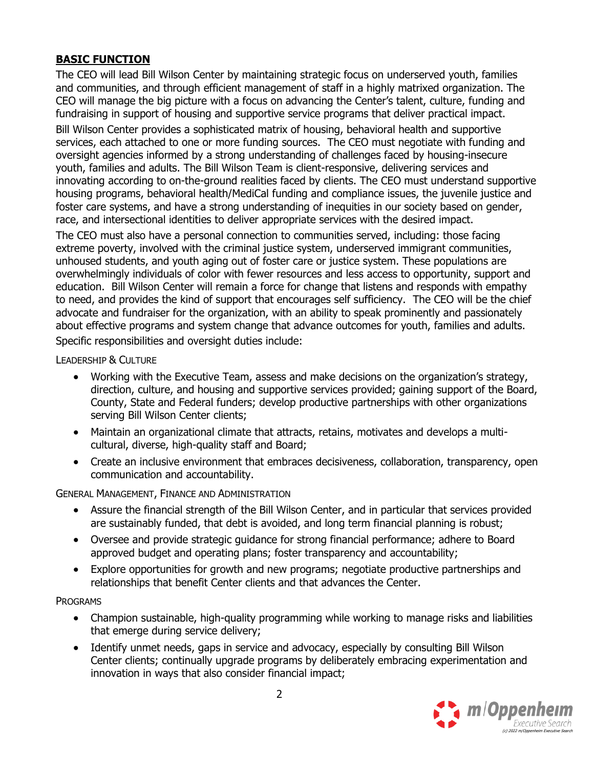## **BASIC FUNCTION**

The CEO will lead Bill Wilson Center by maintaining strategic focus on underserved youth, families and communities, and through efficient management of staff in a highly matrixed organization. The CEO will manage the big picture with a focus on advancing the Center's talent, culture, funding and fundraising in support of housing and supportive service programs that deliver practical impact.

Bill Wilson Center provides a sophisticated matrix of housing, behavioral health and supportive services, each attached to one or more funding sources. The CEO must negotiate with funding and oversight agencies informed by a strong understanding of challenges faced by housing-insecure youth, families and adults. The Bill Wilson Team is client-responsive, delivering services and innovating according to on-the-ground realities faced by clients. The CEO must understand supportive housing programs, behavioral health/MediCal funding and compliance issues, the juvenile justice and foster care systems, and have a strong understanding of inequities in our society based on gender, race, and intersectional identities to deliver appropriate services with the desired impact.

The CEO must also have a personal connection to communities served, including: those facing extreme poverty, involved with the criminal justice system, underserved immigrant communities, unhoused students, and youth aging out of foster care or justice system. These populations are overwhelmingly individuals of color with fewer resources and less access to opportunity, support and education. Bill Wilson Center will remain a force for change that listens and responds with empathy to need, and provides the kind of support that encourages self sufficiency. The CEO will be the chief advocate and fundraiser for the organization, with an ability to speak prominently and passionately about effective programs and system change that advance outcomes for youth, families and adults. Specific responsibilities and oversight duties include:

LEADERSHIP & CULTURE

- Working with the Executive Team, assess and make decisions on the organization's strategy, direction, culture, and housing and supportive services provided; gaining support of the Board, County, State and Federal funders; develop productive partnerships with other organizations serving Bill Wilson Center clients;
- Maintain an organizational climate that attracts, retains, motivates and develops a multicultural, diverse, high-quality staff and Board;
- Create an inclusive environment that embraces decisiveness, collaboration, transparency, open communication and accountability.

GENERAL MANAGEMENT, FINANCE AND ADMINISTRATION

- Assure the financial strength of the Bill Wilson Center, and in particular that services provided are sustainably funded, that debt is avoided, and long term financial planning is robust;
- Oversee and provide strategic guidance for strong financial performance; adhere to Board approved budget and operating plans; foster transparency and accountability;
- Explore opportunities for growth and new programs; negotiate productive partnerships and relationships that benefit Center clients and that advances the Center.

**PROGRAMS** 

- Champion sustainable, high-quality programming while working to manage risks and liabilities that emerge during service delivery;
- Identify unmet needs, gaps in service and advocacy, especially by consulting Bill Wilson Center clients; continually upgrade programs by deliberately embracing experimentation and innovation in ways that also consider financial impact;

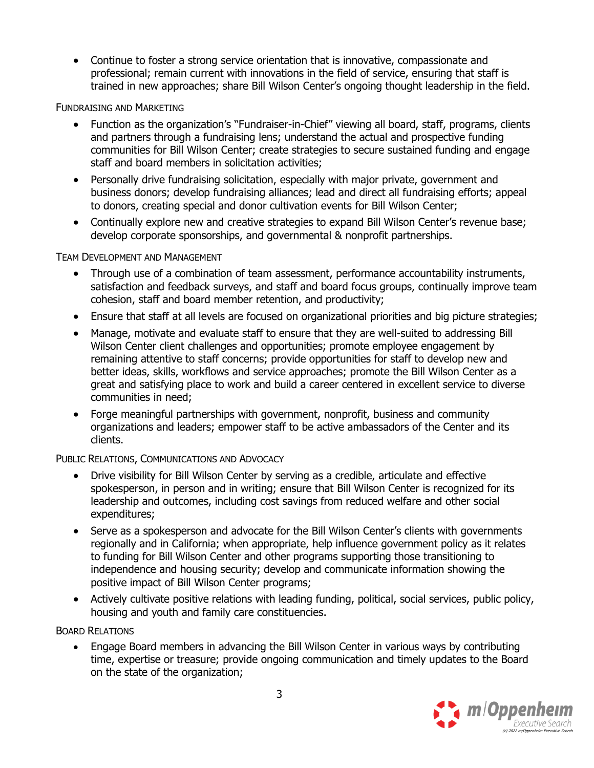• Continue to foster a strong service orientation that is innovative, compassionate and professional; remain current with innovations in the field of service, ensuring that staff is trained in new approaches; share Bill Wilson Center's ongoing thought leadership in the field.

#### FUNDRAISING AND MARKETING

- Function as the organization's "Fundraiser-in-Chief" viewing all board, staff, programs, clients and partners through a fundraising lens; understand the actual and prospective funding communities for Bill Wilson Center; create strategies to secure sustained funding and engage staff and board members in solicitation activities;
- Personally drive fundraising solicitation, especially with major private, government and business donors; develop fundraising alliances; lead and direct all fundraising efforts; appeal to donors, creating special and donor cultivation events for Bill Wilson Center;
- Continually explore new and creative strategies to expand Bill Wilson Center's revenue base; develop corporate sponsorships, and governmental & nonprofit partnerships.

#### TEAM DEVELOPMENT AND MANAGEMENT

- Through use of a combination of team assessment, performance accountability instruments, satisfaction and feedback surveys, and staff and board focus groups, continually improve team cohesion, staff and board member retention, and productivity;
- Ensure that staff at all levels are focused on organizational priorities and big picture strategies;
- Manage, motivate and evaluate staff to ensure that they are well-suited to addressing Bill Wilson Center client challenges and opportunities; promote employee engagement by remaining attentive to staff concerns; provide opportunities for staff to develop new and better ideas, skills, workflows and service approaches; promote the Bill Wilson Center as a great and satisfying place to work and build a career centered in excellent service to diverse communities in need;
- Forge meaningful partnerships with government, nonprofit, business and community organizations and leaders; empower staff to be active ambassadors of the Center and its clients.

#### PUBLIC RELATIONS, COMMUNICATIONS AND ADVOCACY

- Drive visibility for Bill Wilson Center by serving as a credible, articulate and effective spokesperson, in person and in writing; ensure that Bill Wilson Center is recognized for its leadership and outcomes, including cost savings from reduced welfare and other social expenditures;
- Serve as a spokesperson and advocate for the Bill Wilson Center's clients with governments regionally and in California; when appropriate, help influence government policy as it relates to funding for Bill Wilson Center and other programs supporting those transitioning to independence and housing security; develop and communicate information showing the positive impact of Bill Wilson Center programs;
- Actively cultivate positive relations with leading funding, political, social services, public policy, housing and youth and family care constituencies.

#### BOARD RELATIONS

• Engage Board members in advancing the Bill Wilson Center in various ways by contributing time, expertise or treasure; provide ongoing communication and timely updates to the Board on the state of the organization;